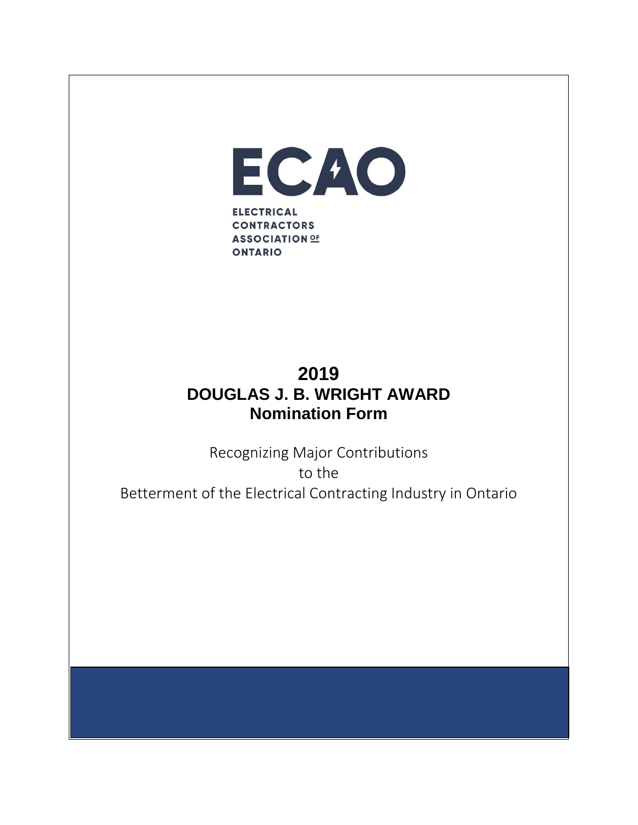

## **2019 DOUGLAS J. B. WRIGHT AWARD Nomination Form**

Recognizing Major Contributions to the Betterment of the Electrical Contracting Industry in Ontario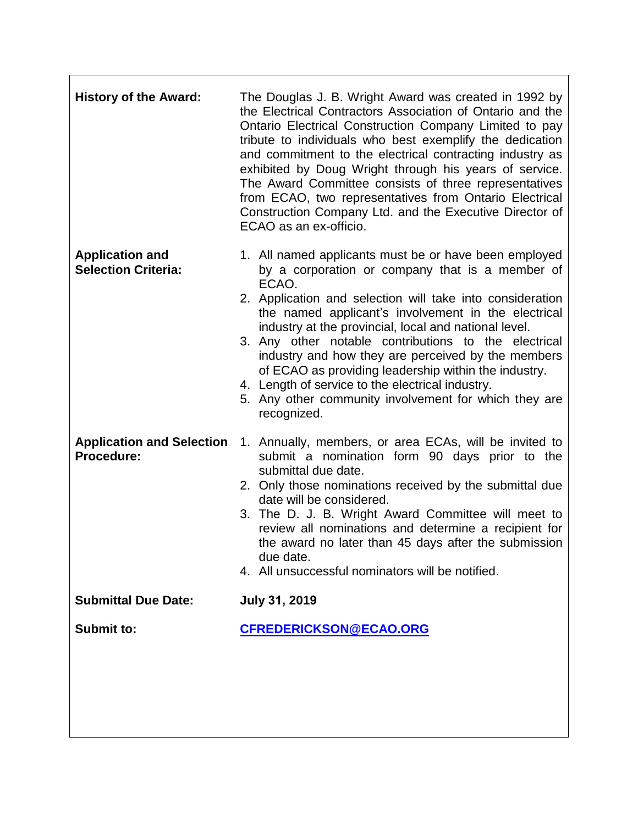| <b>History of the Award:</b>                          | The Douglas J. B. Wright Award was created in 1992 by<br>the Electrical Contractors Association of Ontario and the<br>Ontario Electrical Construction Company Limited to pay<br>tribute to individuals who best exemplify the dedication<br>and commitment to the electrical contracting industry as<br>exhibited by Doug Wright through his years of service.<br>The Award Committee consists of three representatives<br>from ECAO, two representatives from Ontario Electrical<br>Construction Company Ltd. and the Executive Director of<br>ECAO as an ex-officio.                           |
|-------------------------------------------------------|--------------------------------------------------------------------------------------------------------------------------------------------------------------------------------------------------------------------------------------------------------------------------------------------------------------------------------------------------------------------------------------------------------------------------------------------------------------------------------------------------------------------------------------------------------------------------------------------------|
| <b>Application and</b><br><b>Selection Criteria:</b>  | 1. All named applicants must be or have been employed<br>by a corporation or company that is a member of<br>ECAO.<br>2. Application and selection will take into consideration<br>the named applicant's involvement in the electrical<br>industry at the provincial, local and national level.<br>3. Any other notable contributions to the electrical<br>industry and how they are perceived by the members<br>of ECAO as providing leadership within the industry.<br>4. Length of service to the electrical industry.<br>5. Any other community involvement for which they are<br>recognized. |
| <b>Application and Selection</b><br><b>Procedure:</b> | 1. Annually, members, or area ECAs, will be invited to<br>submit a nomination form 90 days prior to the<br>submittal due date.<br>2. Only those nominations received by the submittal due<br>date will be considered.<br>3. The D. J. B. Wright Award Committee will meet to<br>review all nominations and determine a recipient for<br>the award no later than 45 days after the submission<br>due date.<br>4. All unsuccessful nominators will be notified.                                                                                                                                    |
| <b>Submittal Due Date:</b>                            | <b>July 31, 2019</b>                                                                                                                                                                                                                                                                                                                                                                                                                                                                                                                                                                             |
| <b>Submit to:</b>                                     | CFREDERICKSON@ECAO.ORG                                                                                                                                                                                                                                                                                                                                                                                                                                                                                                                                                                           |
|                                                       |                                                                                                                                                                                                                                                                                                                                                                                                                                                                                                                                                                                                  |

٦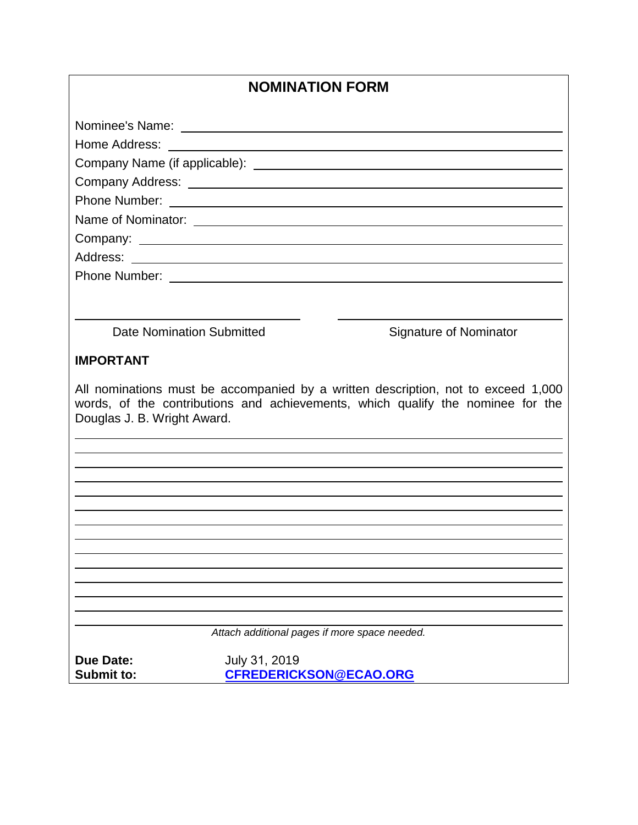| <b>NOMINATION FORM</b>                                                                                                                                                                              |  |  |
|-----------------------------------------------------------------------------------------------------------------------------------------------------------------------------------------------------|--|--|
|                                                                                                                                                                                                     |  |  |
|                                                                                                                                                                                                     |  |  |
|                                                                                                                                                                                                     |  |  |
|                                                                                                                                                                                                     |  |  |
|                                                                                                                                                                                                     |  |  |
|                                                                                                                                                                                                     |  |  |
|                                                                                                                                                                                                     |  |  |
|                                                                                                                                                                                                     |  |  |
|                                                                                                                                                                                                     |  |  |
|                                                                                                                                                                                                     |  |  |
|                                                                                                                                                                                                     |  |  |
| Date Nomination Submitted<br>Signature of Nominator                                                                                                                                                 |  |  |
|                                                                                                                                                                                                     |  |  |
| <b>IMPORTANT</b>                                                                                                                                                                                    |  |  |
| All nominations must be accompanied by a written description, not to exceed 1,000<br>words, of the contributions and achievements, which qualify the nominee for the<br>Douglas J. B. Wright Award. |  |  |
|                                                                                                                                                                                                     |  |  |
|                                                                                                                                                                                                     |  |  |
|                                                                                                                                                                                                     |  |  |
|                                                                                                                                                                                                     |  |  |
|                                                                                                                                                                                                     |  |  |
|                                                                                                                                                                                                     |  |  |
|                                                                                                                                                                                                     |  |  |
|                                                                                                                                                                                                     |  |  |
|                                                                                                                                                                                                     |  |  |
|                                                                                                                                                                                                     |  |  |
| Attach additional pages if more space needed.                                                                                                                                                       |  |  |
| <b>Due Date:</b><br>July 31, 2019                                                                                                                                                                   |  |  |
| <b>Submit to:</b><br><b>CFREDERICKSON@ECAO.ORG</b>                                                                                                                                                  |  |  |